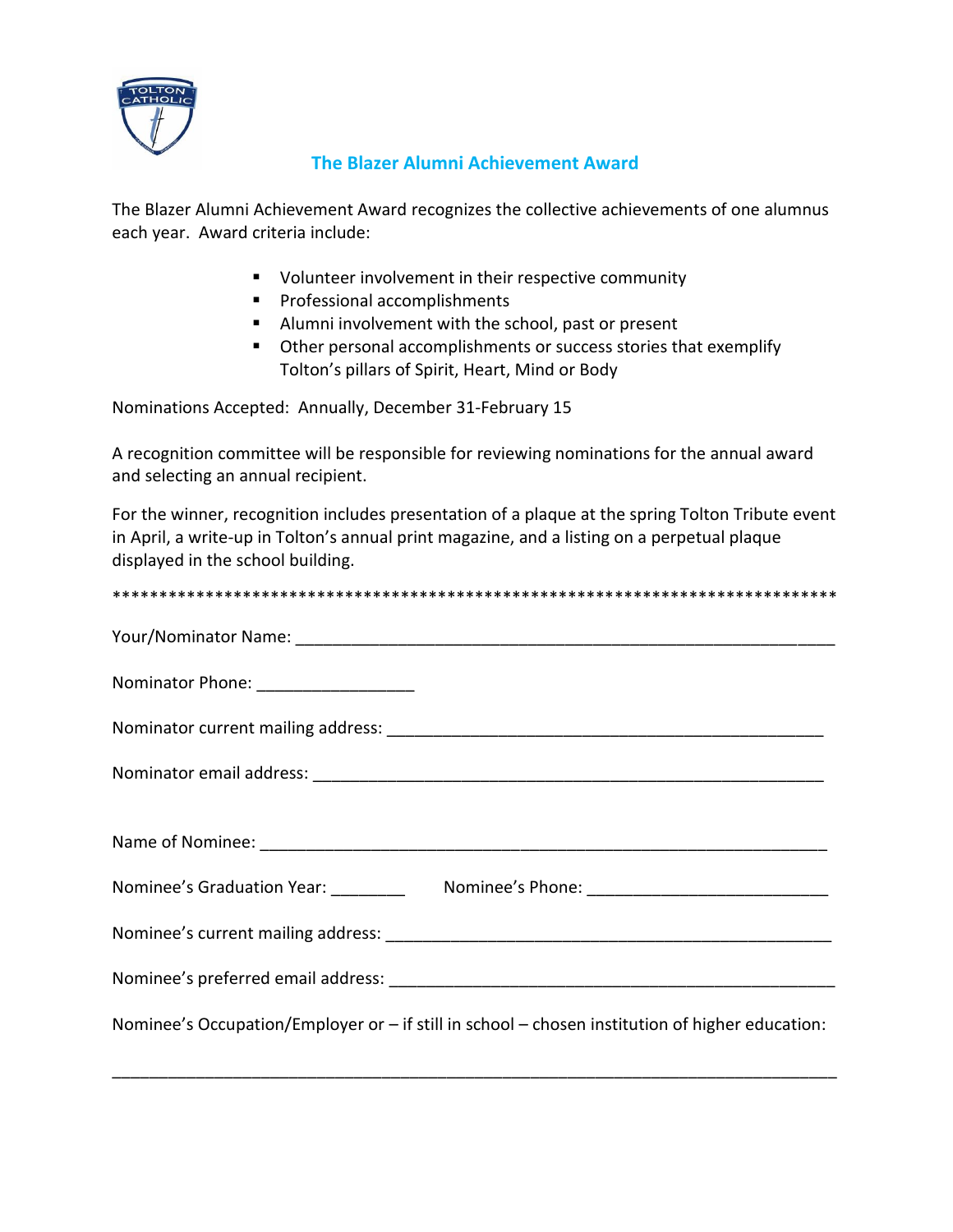

## **The Blazer Alumni Achievement Award**

The Blazer Alumni Achievement Award recognizes the collective achievements of one alumnus each year. Award criteria include:

- Volunteer involvement in their respective community
- Professional accomplishments
- Alumni involvement with the school, past or present
- Other personal accomplishments or success stories that exemplify Tolton's pillars of Spirit, Heart, Mind or Body

Nominations Accepted: Annually, December 31-February 15

A recognition committee will be responsible for reviewing nominations for the annual award and selecting an annual recipient.

For the winner, recognition includes presentation of a plaque at the spring Tolton Tribute event in April, a write-up in Tolton's annual print magazine, and a listing on a perpetual plaque displayed in the school building.

| Nominator Phone: ___________________                                                                |
|-----------------------------------------------------------------------------------------------------|
|                                                                                                     |
|                                                                                                     |
|                                                                                                     |
|                                                                                                     |
|                                                                                                     |
|                                                                                                     |
| Nominee's Occupation/Employer or $-$ if still in school $-$ chosen institution of higher education: |
|                                                                                                     |

\_\_\_\_\_\_\_\_\_\_\_\_\_\_\_\_\_\_\_\_\_\_\_\_\_\_\_\_\_\_\_\_\_\_\_\_\_\_\_\_\_\_\_\_\_\_\_\_\_\_\_\_\_\_\_\_\_\_\_\_\_\_\_\_\_\_\_\_\_\_\_\_\_\_\_\_\_\_